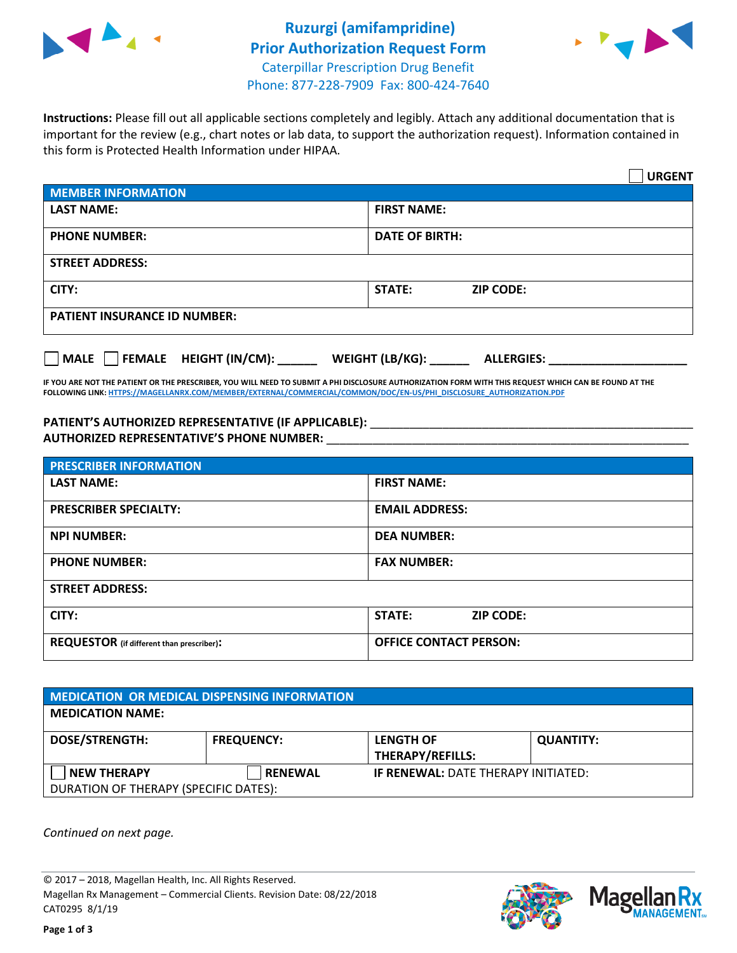



**Instructions:** Please fill out all applicable sections completely and legibly. Attach any additional documentation that is important for the review (e.g., chart notes or lab data, to support the authorization request). Information contained in this form is Protected Health Information under HIPAA.

|                                              | <b>URGENT</b>                        |  |  |  |
|----------------------------------------------|--------------------------------------|--|--|--|
| <b>MEMBER INFORMATION</b>                    |                                      |  |  |  |
| <b>LAST NAME:</b>                            | <b>FIRST NAME:</b>                   |  |  |  |
| <b>PHONE NUMBER:</b>                         | <b>DATE OF BIRTH:</b>                |  |  |  |
| <b>STREET ADDRESS:</b>                       |                                      |  |  |  |
| CITY:                                        | <b>STATE:</b><br><b>ZIP CODE:</b>    |  |  |  |
| <b>PATIENT INSURANCE ID NUMBER:</b>          |                                      |  |  |  |
| $\Box$ FEMALE HEIGHT (IN/CM):<br><b>MALE</b> | WEIGHT (LB/KG):<br><b>ALLERGIES:</b> |  |  |  |

**IF YOU ARE NOT THE PATIENT OR THE PRESCRIBER, YOU WILL NEED TO SUBMIT A PHI DISCLOSURE AUTHORIZATION FORM WITH THIS REQUEST WHICH CAN BE FOUND AT THE FOLLOWING LINK[: HTTPS://MAGELLANRX.COM/MEMBER/EXTERNAL/COMMERCIAL/COMMON/DOC/EN-US/PHI\\_DISCLOSURE\\_AUTHORIZATION.PDF](https://magellanrx.com/member/external/commercial/common/doc/en-us/PHI_Disclosure_Authorization.pdf)**

PATIENT'S AUTHORIZED REPRESENTATIVE (IF APPLICABLE): \_\_\_\_\_\_\_\_\_\_\_\_\_\_\_\_\_\_\_\_\_\_\_\_\_\_\_ **AUTHORIZED REPRESENTATIVE'S PHONE NUMBER:** \_\_\_\_\_\_\_\_\_\_\_\_\_\_\_\_\_\_\_\_\_\_\_\_\_\_\_\_\_\_\_\_\_\_\_\_\_\_\_\_\_\_\_\_\_\_\_\_\_\_\_\_\_\_\_

| <b>PRESCRIBER INFORMATION</b>             |                               |  |  |  |
|-------------------------------------------|-------------------------------|--|--|--|
| <b>LAST NAME:</b>                         | <b>FIRST NAME:</b>            |  |  |  |
| <b>PRESCRIBER SPECIALTY:</b>              | <b>EMAIL ADDRESS:</b>         |  |  |  |
| <b>NPI NUMBER:</b>                        | <b>DEA NUMBER:</b>            |  |  |  |
| <b>PHONE NUMBER:</b>                      | <b>FAX NUMBER:</b>            |  |  |  |
| <b>STREET ADDRESS:</b>                    |                               |  |  |  |
| CITY:                                     | STATE:<br><b>ZIP CODE:</b>    |  |  |  |
| REQUESTOR (if different than prescriber): | <b>OFFICE CONTACT PERSON:</b> |  |  |  |

| <b>MEDICATION OR MEDICAL DISPENSING INFORMATION</b> |                   |                                            |                  |  |  |
|-----------------------------------------------------|-------------------|--------------------------------------------|------------------|--|--|
| <b>MEDICATION NAME:</b>                             |                   |                                            |                  |  |  |
| <b>DOSE/STRENGTH:</b>                               | <b>FREQUENCY:</b> | <b>LENGTH OF</b>                           | <b>QUANTITY:</b> |  |  |
|                                                     |                   | <b>THERAPY/REFILLS:</b>                    |                  |  |  |
| <b>NEW THERAPY</b>                                  | <b>RENEWAL</b>    | <b>IF RENEWAL: DATE THERAPY INITIATED:</b> |                  |  |  |
| DURATION OF THERAPY (SPECIFIC DATES):               |                   |                                            |                  |  |  |

*Continued on next page.*

© 2017 – 2018, Magellan Health, Inc. All Rights Reserved. Magellan Rx Management – Commercial Clients. Revision Date: 08/22/2018 CAT0295 8/1/19



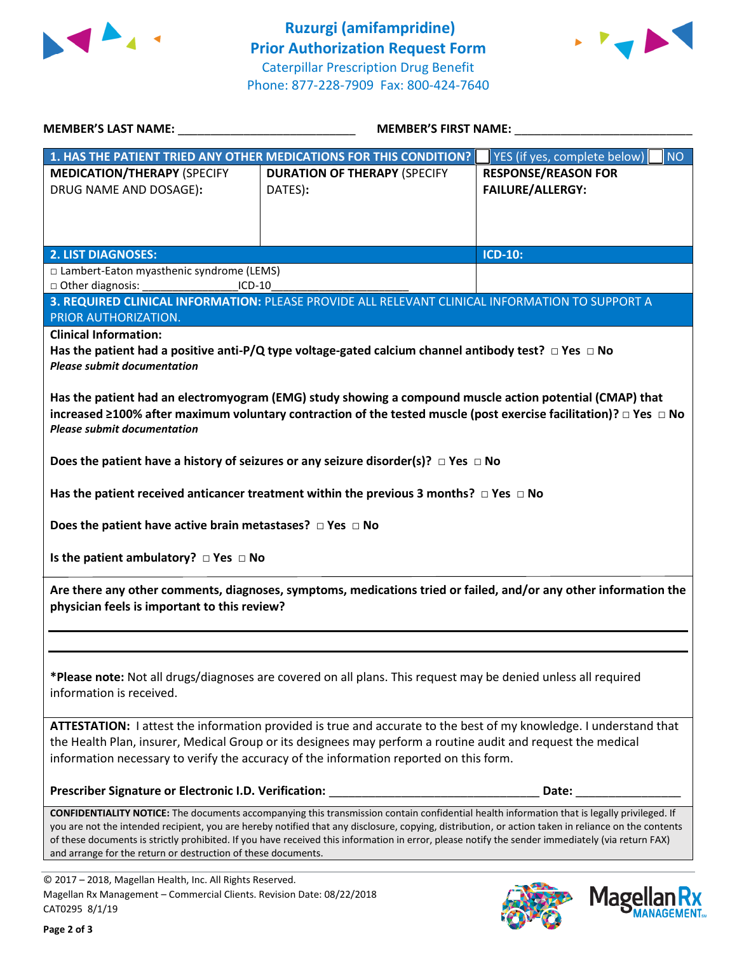



| <b>MEMBER'S LAST NAME:</b> NAME:                                                                                                                      | <b>MEMBER'S FIRST NAME:</b>                                                                                                                                                                                                                                                                                                                                                                                                                            |                                                       |  |
|-------------------------------------------------------------------------------------------------------------------------------------------------------|--------------------------------------------------------------------------------------------------------------------------------------------------------------------------------------------------------------------------------------------------------------------------------------------------------------------------------------------------------------------------------------------------------------------------------------------------------|-------------------------------------------------------|--|
|                                                                                                                                                       | 1. HAS THE PATIENT TRIED ANY OTHER MEDICATIONS FOR THIS CONDITION?                                                                                                                                                                                                                                                                                                                                                                                     | YES (if yes, complete below)<br><b>NO</b>             |  |
| <b>MEDICATION/THERAPY (SPECIFY</b><br>DRUG NAME AND DOSAGE):                                                                                          | <b>DURATION OF THERAPY (SPECIFY</b><br>DATES):                                                                                                                                                                                                                                                                                                                                                                                                         | <b>RESPONSE/REASON FOR</b><br><b>FAILURE/ALLERGY:</b> |  |
| <b>2. LIST DIAGNOSES:</b>                                                                                                                             |                                                                                                                                                                                                                                                                                                                                                                                                                                                        | <b>ICD-10:</b>                                        |  |
| □ Lambert-Eaton myasthenic syndrome (LEMS)                                                                                                            |                                                                                                                                                                                                                                                                                                                                                                                                                                                        |                                                       |  |
| □ Other diagnosis:<br>$ICD-10$                                                                                                                        |                                                                                                                                                                                                                                                                                                                                                                                                                                                        |                                                       |  |
|                                                                                                                                                       | 3. REQUIRED CLINICAL INFORMATION: PLEASE PROVIDE ALL RELEVANT CLINICAL INFORMATION TO SUPPORT A                                                                                                                                                                                                                                                                                                                                                        |                                                       |  |
| PRIOR AUTHORIZATION.                                                                                                                                  |                                                                                                                                                                                                                                                                                                                                                                                                                                                        |                                                       |  |
| <b>Clinical Information:</b><br><b>Please submit documentation</b>                                                                                    | Has the patient had a positive anti-P/Q type voltage-gated calcium channel antibody test? $\Box$ Yes $\Box$ No                                                                                                                                                                                                                                                                                                                                         |                                                       |  |
| <b>Please submit documentation</b>                                                                                                                    | Has the patient had an electromyogram (EMG) study showing a compound muscle action potential (CMAP) that<br>increased $\geq$ 100% after maximum voluntary contraction of the tested muscle (post exercise facilitation)? $\Box$ Yes $\Box$ No                                                                                                                                                                                                          |                                                       |  |
|                                                                                                                                                       | Does the patient have a history of seizures or any seizure disorder(s)? $\Box$ Yes $\Box$ No                                                                                                                                                                                                                                                                                                                                                           |                                                       |  |
|                                                                                                                                                       | Has the patient received anticancer treatment within the previous 3 months? $\Box$ Yes $\Box$ No                                                                                                                                                                                                                                                                                                                                                       |                                                       |  |
| Does the patient have active brain metastases? $\Box$ Yes $\Box$ No                                                                                   |                                                                                                                                                                                                                                                                                                                                                                                                                                                        |                                                       |  |
| Is the patient ambulatory? $\Box$ Yes $\Box$ No                                                                                                       |                                                                                                                                                                                                                                                                                                                                                                                                                                                        |                                                       |  |
| physician feels is important to this review?                                                                                                          | Are there any other comments, diagnoses, symptoms, medications tried or failed, and/or any other information the                                                                                                                                                                                                                                                                                                                                       |                                                       |  |
|                                                                                                                                                       |                                                                                                                                                                                                                                                                                                                                                                                                                                                        |                                                       |  |
| information is received.                                                                                                                              | *Please note: Not all drugs/diagnoses are covered on all plans. This request may be denied unless all required                                                                                                                                                                                                                                                                                                                                         |                                                       |  |
|                                                                                                                                                       | ATTESTATION: I attest the information provided is true and accurate to the best of my knowledge. I understand that<br>the Health Plan, insurer, Medical Group or its designees may perform a routine audit and request the medical<br>information necessary to verify the accuracy of the information reported on this form.                                                                                                                           |                                                       |  |
| Prescriber Signature or Electronic I.D. Verification:                                                                                                 |                                                                                                                                                                                                                                                                                                                                                                                                                                                        | Date:                                                 |  |
| and arrange for the return or destruction of these documents.                                                                                         | CONFIDENTIALITY NOTICE: The documents accompanying this transmission contain confidential health information that is legally privileged. If<br>you are not the intended recipient, you are hereby notified that any disclosure, copying, distribution, or action taken in reliance on the contents<br>of these documents is strictly prohibited. If you have received this information in error, please notify the sender immediately (via return FAX) |                                                       |  |
| © 2017 - 2018, Magellan Health, Inc. All Rights Reserved.<br>Magellan Rx Management - Commercial Clients. Revision Date: 08/22/2018<br>CAT0295 8/1/19 |                                                                                                                                                                                                                                                                                                                                                                                                                                                        | <b>Magel</b>                                          |  |